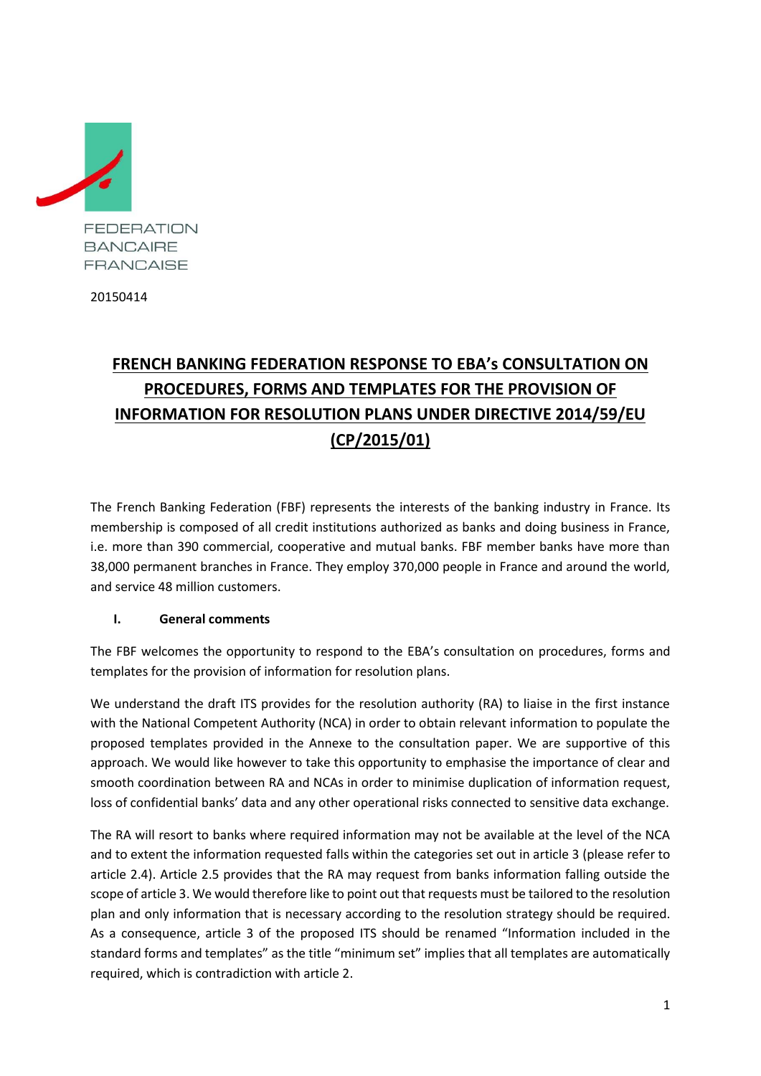

20150414

# **FRENCH BANKING FEDERATION RESPONSE TO EBA's CONSULTATION ON PROCEDURES, FORMS AND TEMPLATES FOR THE PROVISION OF INFORMATION FOR RESOLUTION PLANS UNDER DIRECTIVE 2014/59/EU (CP/2015/01)**

The French Banking Federation (FBF) represents the interests of the banking industry in France. Its membership is composed of all credit institutions authorized as banks and doing business in France, i.e. more than 390 commercial, cooperative and mutual banks. FBF member banks have more than 38,000 permanent branches in France. They employ 370,000 people in France and around the world, and service 48 million customers.

# **I. General comments**

The FBF welcomes the opportunity to respond to the EBA's consultation on procedures, forms and templates for the provision of information for resolution plans.

We understand the draft ITS provides for the resolution authority (RA) to liaise in the first instance with the National Competent Authority (NCA) in order to obtain relevant information to populate the proposed templates provided in the Annexe to the consultation paper. We are supportive of this approach. We would like however to take this opportunity to emphasise the importance of clear and smooth coordination between RA and NCAs in order to minimise duplication of information request, loss of confidential banks' data and any other operational risks connected to sensitive data exchange.

The RA will resort to banks where required information may not be available at the level of the NCA and to extent the information requested falls within the categories set out in article 3 (please refer to article 2.4). Article 2.5 provides that the RA may request from banks information falling outside the scope of article 3. We would therefore like to point out that requests must be tailored to the resolution plan and only information that is necessary according to the resolution strategy should be required. As a consequence, article 3 of the proposed ITS should be renamed "Information included in the standard forms and templates" as the title "minimum set" implies that all templates are automatically required, which is contradiction with article 2.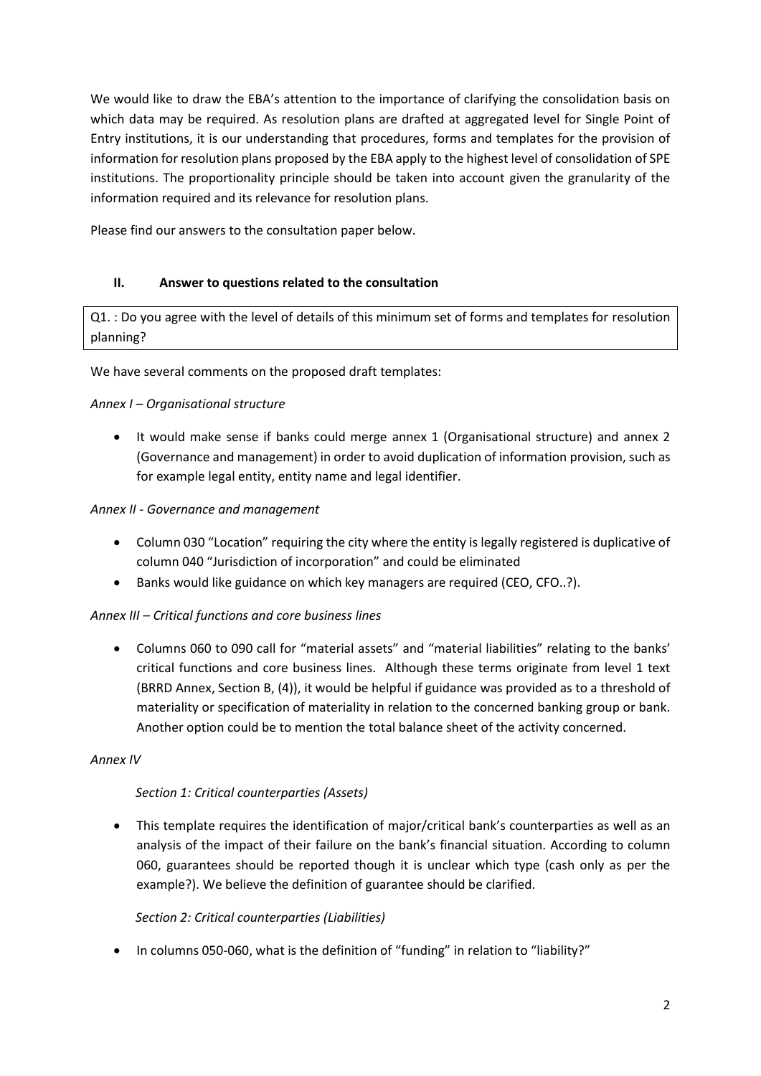We would like to draw the EBA's attention to the importance of clarifying the consolidation basis on which data may be required. As resolution plans are drafted at aggregated level for Single Point of Entry institutions, it is our understanding that procedures, forms and templates for the provision of information for resolution plans proposed by the EBA apply to the highest level of consolidation of SPE institutions. The proportionality principle should be taken into account given the granularity of the information required and its relevance for resolution plans.

Please find our answers to the consultation paper below.

# **II. Answer to questions related to the consultation**

Q1. : Do you agree with the level of details of this minimum set of forms and templates for resolution planning?

We have several comments on the proposed draft templates:

## *Annex I – Organisational structure*

 It would make sense if banks could merge annex 1 (Organisational structure) and annex 2 (Governance and management) in order to avoid duplication of information provision, such as for example legal entity, entity name and legal identifier.

## *Annex II - Governance and management*

- Column 030 "Location" requiring the city where the entity is legally registered is duplicative of column 040 "Jurisdiction of incorporation" and could be eliminated
- Banks would like guidance on which key managers are required (CEO, CFO..?).

# *Annex III – Critical functions and core business lines*

 Columns 060 to 090 call for "material assets" and "material liabilities" relating to the banks' critical functions and core business lines. Although these terms originate from level 1 text (BRRD Annex, Section B, (4)), it would be helpful if guidance was provided as to a threshold of materiality or specification of materiality in relation to the concerned banking group or bank. Another option could be to mention the total balance sheet of the activity concerned.

#### *Annex IV*

# *Section 1: Critical counterparties (Assets)*

 This template requires the identification of major/critical bank's counterparties as well as an analysis of the impact of their failure on the bank's financial situation. According to column 060, guarantees should be reported though it is unclear which type (cash only as per the example?). We believe the definition of guarantee should be clarified.

#### *Section 2: Critical counterparties (Liabilities)*

• In columns 050-060, what is the definition of "funding" in relation to "liability?"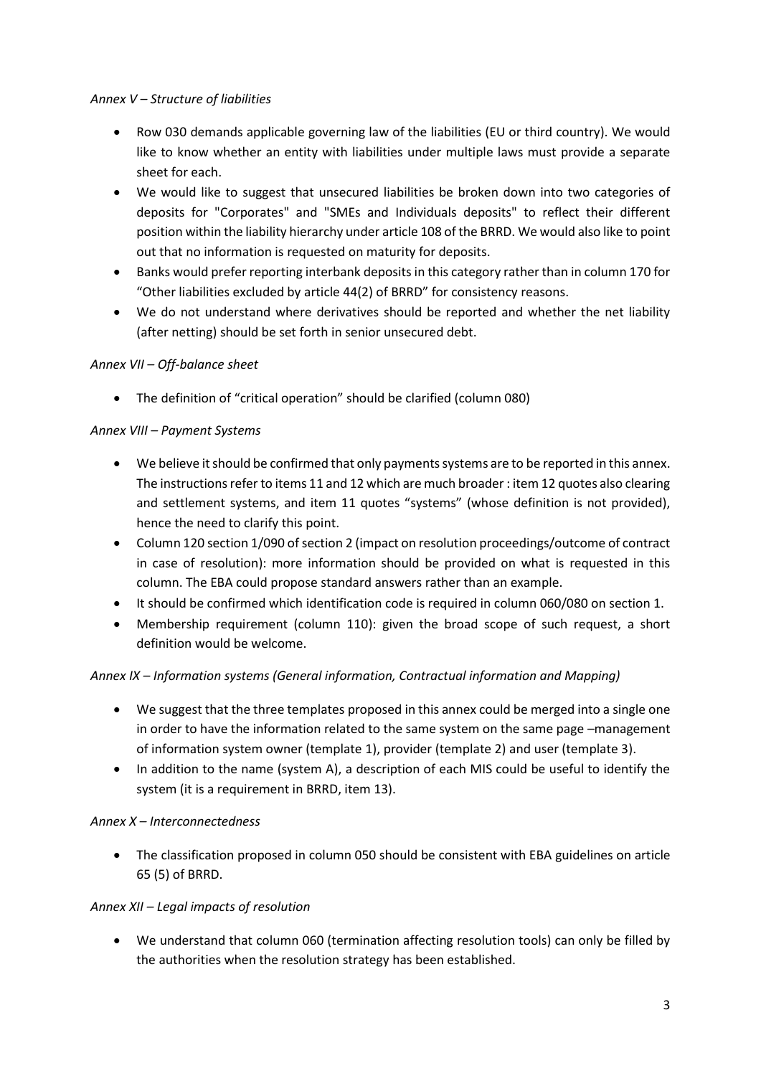## *Annex V – Structure of liabilities*

- Row 030 demands applicable governing law of the liabilities (EU or third country). We would like to know whether an entity with liabilities under multiple laws must provide a separate sheet for each.
- We would like to suggest that unsecured liabilities be broken down into two categories of deposits for "Corporates" and "SMEs and Individuals deposits" to reflect their different position within the liability hierarchy under article 108 of the BRRD. We would also like to point out that no information is requested on maturity for deposits.
- Banks would prefer reporting interbank deposits in this category rather than in column 170 for "Other liabilities excluded by article 44(2) of BRRD" for consistency reasons.
- We do not understand where derivatives should be reported and whether the net liability (after netting) should be set forth in senior unsecured debt.

# *Annex VII – Off-balance sheet*

The definition of "critical operation" should be clarified (column 080)

# *Annex VIII – Payment Systems*

- We believe it should be confirmed that only payments systems are to be reported in this annex. The instructions refer to items 11 and 12 which are much broader : item 12 quotes also clearing and settlement systems, and item 11 quotes "systems" (whose definition is not provided), hence the need to clarify this point.
- Column 120 section 1/090 of section 2 (impact on resolution proceedings/outcome of contract in case of resolution): more information should be provided on what is requested in this column. The EBA could propose standard answers rather than an example.
- It should be confirmed which identification code is required in column 060/080 on section 1.
- Membership requirement (column 110): given the broad scope of such request, a short definition would be welcome.

# *Annex IX – Information systems (General information, Contractual information and Mapping)*

- We suggest that the three templates proposed in this annex could be merged into a single one in order to have the information related to the same system on the same page –management of information system owner (template 1), provider (template 2) and user (template 3).
- In addition to the name (system A), a description of each MIS could be useful to identify the system (it is a requirement in BRRD, item 13).

# *Annex X – Interconnectedness*

 The classification proposed in column 050 should be consistent with EBA guidelines on article 65 (5) of BRRD.

# *Annex XII – Legal impacts of resolution*

 We understand that column 060 (termination affecting resolution tools) can only be filled by the authorities when the resolution strategy has been established.